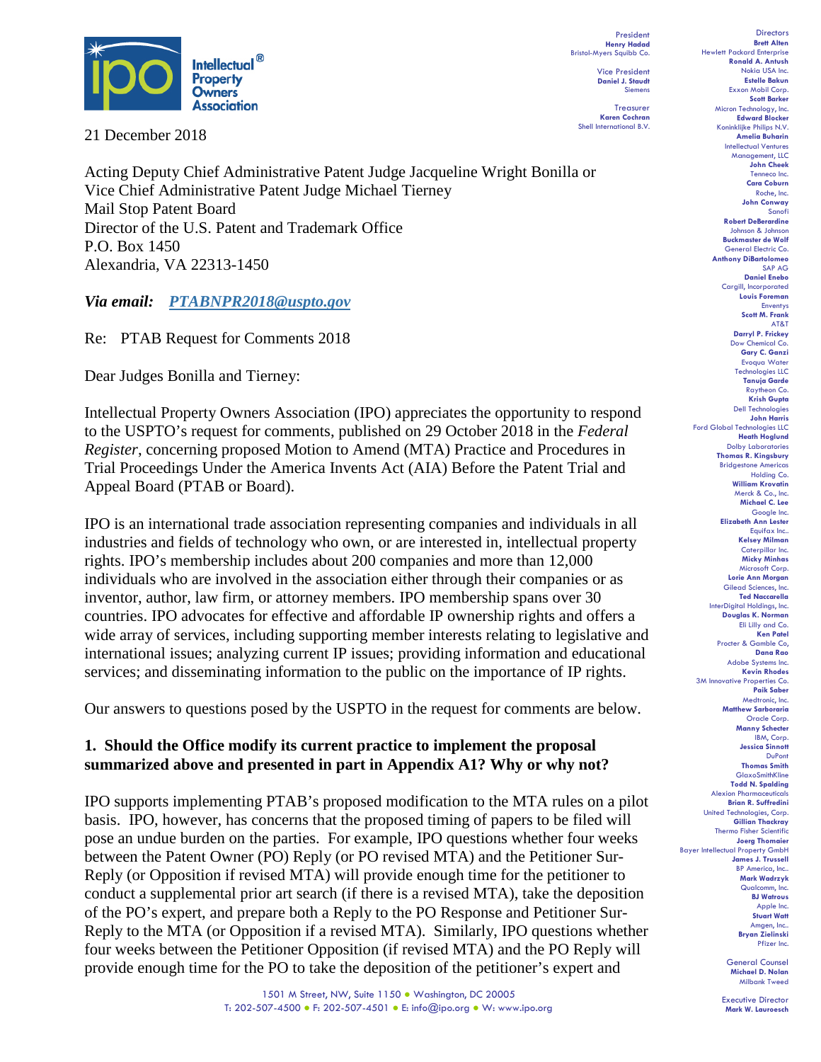

21 December 2018

Acting Deputy Chief Administrative Patent Judge Jacqueline Wright Bonilla or Vice Chief Administrative Patent Judge Michael Tierney Mail Stop Patent Board Director of the U.S. Patent and Trademark Office P.O. Box 1450 Alexandria, VA 22313-1450

*Via email: [PTABNPR2018@uspto.gov](mailto:PTABNPR2018@uspto.gov)*

Re: PTAB Request for Comments 2018

Dear Judges Bonilla and Tierney:

Intellectual Property Owners Association (IPO) appreciates the opportunity to respond to the USPTO's request for comments, published on 29 October 2018 in the *Federal Register*, concerning proposed Motion to Amend (MTA) Practice and Procedures in Trial Proceedings Under the America Invents Act (AIA) Before the Patent Trial and Appeal Board (PTAB or Board).

IPO is an international trade association representing companies and individuals in all industries and fields of technology who own, or are interested in, intellectual property rights. IPO's membership includes about 200 companies and more than 12,000 individuals who are involved in the association either through their companies or as inventor, author, law firm, or attorney members. IPO membership spans over 30 countries. IPO advocates for effective and affordable IP ownership rights and offers a wide array of services, including supporting member interests relating to legislative and international issues; analyzing current IP issues; providing information and educational services; and disseminating information to the public on the importance of IP rights.

Our answers to questions posed by the USPTO in the request for comments are below.

# **1. Should the Office modify its current practice to implement the proposal summarized above and presented in part in Appendix A1? Why or why not?**

IPO supports implementing PTAB's proposed modification to the MTA rules on a pilot basis. IPO, however, has concerns that the proposed timing of papers to be filed will pose an undue burden on the parties. For example, IPO questions whether four weeks between the Patent Owner (PO) Reply (or PO revised MTA) and the Petitioner Sur-Reply (or Opposition if revised MTA) will provide enough time for the petitioner to conduct a supplemental prior art search (if there is a revised MTA), take the deposition of the PO's expert, and prepare both a Reply to the PO Response and Petitioner Sur-Reply to the MTA (or Opposition if a revised MTA). Similarly, IPO questions whether four weeks between the Petitioner Opposition (if revised MTA) and the PO Reply will provide enough time for the PO to take the deposition of the petitioner's expert and

President **Henry Hadad** Bristol-Myers Squibb Co. Vice President

> **Daniel J. Staudt** Siemens

Treasurer **Karen Cochran** Shell International B.V.

**Directors Brett Alten** Hewlett Packard Enterprise **Ronald A. Antush** Nokia USA Inc. **Estelle Bakun** Exxon Mobil Corp. **Scott Barker** Micron Technology, Inc. **Edward Blocker** Koninklijke Philips N.V. **Amelia Buharin** Intellectual Ventures Management, LLC **John Cheek** Tenneco Inc. **Cara Coburn** Roche, Inc. **John Conway** Sanofi **Robert DeBerardine** Johnson & Johnson **Buckmaster de Wolf** General Electric Co. **Anthony DiBartolomeo** SAP AG **Daniel Enebo** Cargill, Incorporated **Louis Foreman** Enventys **Scott M. Frank** AT&T **Darryl P. Frickey** Dow Chemical Co. **Gary C. Ganzi** Evoqua Water Technologies LLC **Tanuja Garde** Raytheon Co. **Krish Gupta** Dell Technologies **John Harris** Ford Global Technologies LLC **Heath Hoglund** Dolby Laboratories **Thomas R. Kingsbury** Bridgestone Americas Holding Co. **William Krovatin** Merck & Co., Inc. **Michael C. Lee** Google Inc. **Elizabeth Ann Lester** Equifax Inc.. **Kelsey Milman** Caterpillar Inc. **Micky Minhas** Microsoft Corp. **Lorie Ann Morgan** Gilead Sciences, Inc. **Ted Naccarella** InterDigital Holdings, Inc. **Douglas K. Norman** Eli Lilly and Co. **Ken Patel** Procter & Gamble Co, **Dana Rao** Adobe Systems Inc. **Kevin Rhodes** 3M Innovative Properties Co. **Paik Saber** Medtronic, Inc. **Matthew Sarboraria** Oracle Corp. **Manny Schecter** IBM, Corp. **Jessica Sinnott** DuPont **Thomas Smith** GlaxoSmithKline **Todd N. Spalding** Alexion Pharmaceuticals **Brian R. Suffredini** United Technologies, Corp. **Gillian Thackray** Thermo Fisher Scientific **Joerg Thomaier** Bayer Intellectual Property GmbH **James J. Trussell** BP America, Inc. **Mark Wadrzyk** Qualcomm, Inc. **BJ Watrous** Apple Inc. **Stuart Watt** Amgen, Inc.. **Bryan Zielinski** Pfizer Inc.

> General Counsel **Michael D. Nolan** Milbank Tweed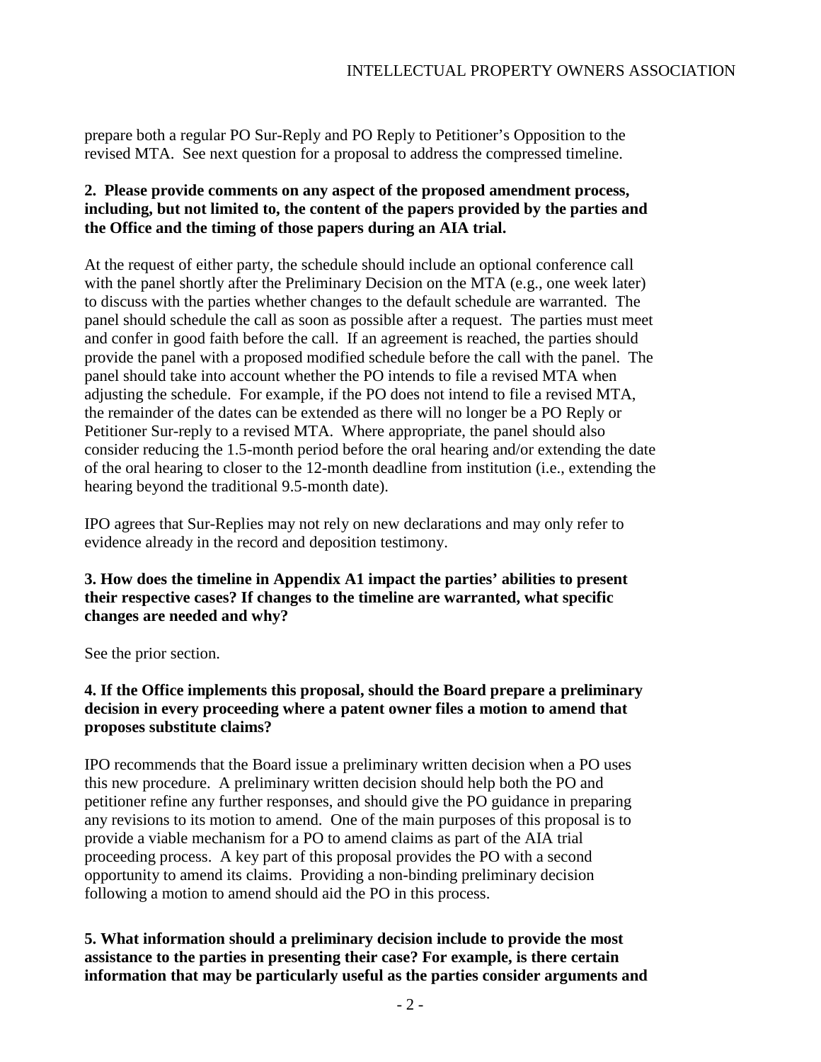prepare both a regular PO Sur-Reply and PO Reply to Petitioner's Opposition to the revised MTA. See next question for a proposal to address the compressed timeline.

# **2. Please provide comments on any aspect of the proposed amendment process, including, but not limited to, the content of the papers provided by the parties and the Office and the timing of those papers during an AIA trial.**

At the request of either party, the schedule should include an optional conference call with the panel shortly after the Preliminary Decision on the MTA (e.g., one week later) to discuss with the parties whether changes to the default schedule are warranted. The panel should schedule the call as soon as possible after a request. The parties must meet and confer in good faith before the call. If an agreement is reached, the parties should provide the panel with a proposed modified schedule before the call with the panel. The panel should take into account whether the PO intends to file a revised MTA when adjusting the schedule. For example, if the PO does not intend to file a revised MTA, the remainder of the dates can be extended as there will no longer be a PO Reply or Petitioner Sur-reply to a revised MTA. Where appropriate, the panel should also consider reducing the 1.5-month period before the oral hearing and/or extending the date of the oral hearing to closer to the 12-month deadline from institution (i.e., extending the hearing beyond the traditional 9.5-month date).

IPO agrees that Sur-Replies may not rely on new declarations and may only refer to evidence already in the record and deposition testimony.

# **3. How does the timeline in Appendix A1 impact the parties' abilities to present their respective cases? If changes to the timeline are warranted, what specific changes are needed and why?**

See the prior section.

# **4. If the Office implements this proposal, should the Board prepare a preliminary decision in every proceeding where a patent owner files a motion to amend that proposes substitute claims?**

IPO recommends that the Board issue a preliminary written decision when a PO uses this new procedure. A preliminary written decision should help both the PO and petitioner refine any further responses, and should give the PO guidance in preparing any revisions to its motion to amend. One of the main purposes of this proposal is to provide a viable mechanism for a PO to amend claims as part of the AIA trial proceeding process. A key part of this proposal provides the PO with a second opportunity to amend its claims. Providing a non-binding preliminary decision following a motion to amend should aid the PO in this process.

# **5. What information should a preliminary decision include to provide the most assistance to the parties in presenting their case? For example, is there certain information that may be particularly useful as the parties consider arguments and**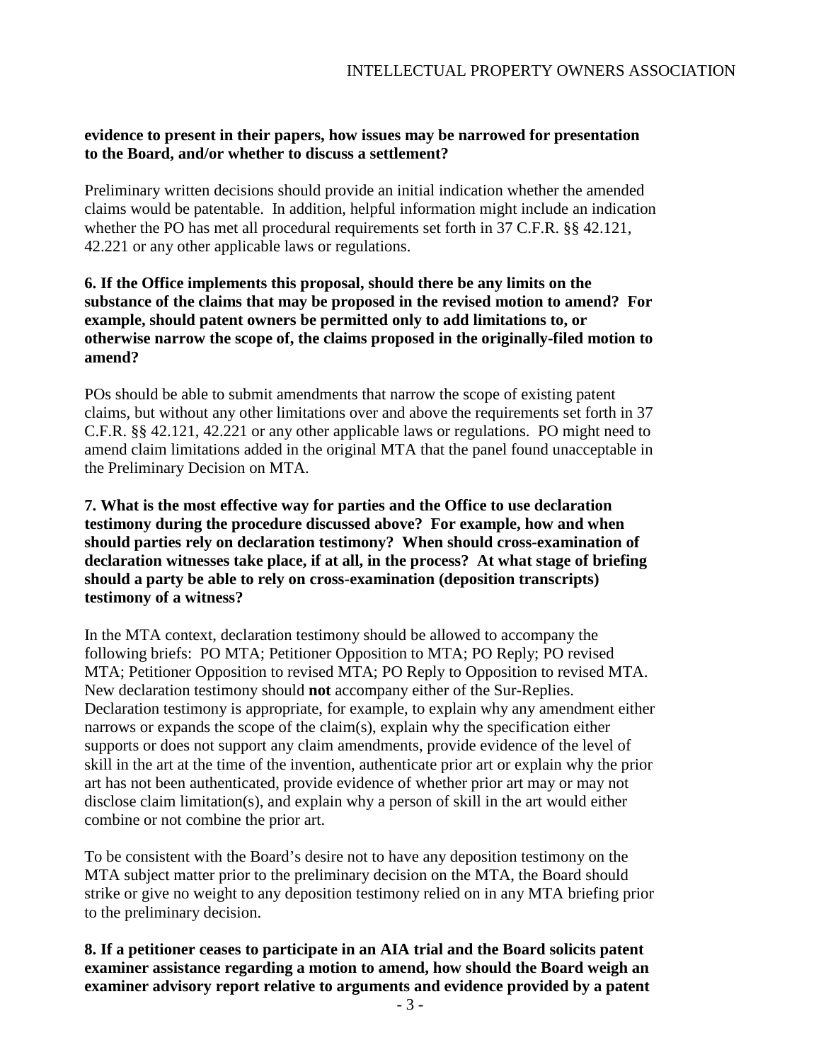### **evidence to present in their papers, how issues may be narrowed for presentation to the Board, and/or whether to discuss a settlement?**

Preliminary written decisions should provide an initial indication whether the amended claims would be patentable. In addition, helpful information might include an indication whether the PO has met all procedural requirements set forth in 37 C.F.R. §§ 42.121, 42.221 or any other applicable laws or regulations.

## **6. If the Office implements this proposal, should there be any limits on the substance of the claims that may be proposed in the revised motion to amend? For example, should patent owners be permitted only to add limitations to, or otherwise narrow the scope of, the claims proposed in the originally-filed motion to amend?**

POs should be able to submit amendments that narrow the scope of existing patent claims, but without any other limitations over and above the requirements set forth in 37 C.F.R. §§ 42.121, 42.221 or any other applicable laws or regulations. PO might need to amend claim limitations added in the original MTA that the panel found unacceptable in the Preliminary Decision on MTA.

**7. What is the most effective way for parties and the Office to use declaration testimony during the procedure discussed above? For example, how and when should parties rely on declaration testimony? When should cross-examination of declaration witnesses take place, if at all, in the process? At what stage of briefing should a party be able to rely on cross-examination (deposition transcripts) testimony of a witness?**

In the MTA context, declaration testimony should be allowed to accompany the following briefs: PO MTA; Petitioner Opposition to MTA; PO Reply; PO revised MTA; Petitioner Opposition to revised MTA; PO Reply to Opposition to revised MTA. New declaration testimony should **not** accompany either of the Sur-Replies. Declaration testimony is appropriate, for example, to explain why any amendment either narrows or expands the scope of the claim(s), explain why the specification either supports or does not support any claim amendments, provide evidence of the level of skill in the art at the time of the invention, authenticate prior art or explain why the prior art has not been authenticated, provide evidence of whether prior art may or may not disclose claim limitation(s), and explain why a person of skill in the art would either combine or not combine the prior art.

To be consistent with the Board's desire not to have any deposition testimony on the MTA subject matter prior to the preliminary decision on the MTA, the Board should strike or give no weight to any deposition testimony relied on in any MTA briefing prior to the preliminary decision.

### **8. If a petitioner ceases to participate in an AIA trial and the Board solicits patent examiner assistance regarding a motion to amend, how should the Board weigh an examiner advisory report relative to arguments and evidence provided by a patent**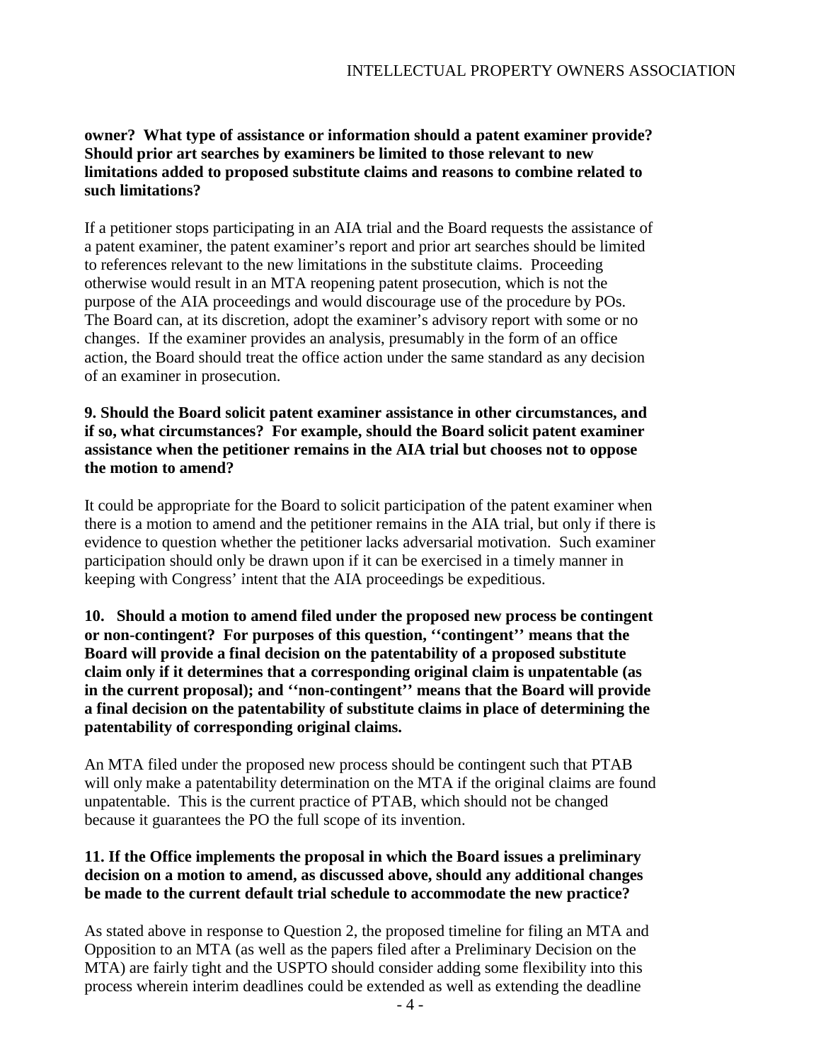# **owner? What type of assistance or information should a patent examiner provide? Should prior art searches by examiners be limited to those relevant to new limitations added to proposed substitute claims and reasons to combine related to such limitations?**

If a petitioner stops participating in an AIA trial and the Board requests the assistance of a patent examiner, the patent examiner's report and prior art searches should be limited to references relevant to the new limitations in the substitute claims. Proceeding otherwise would result in an MTA reopening patent prosecution, which is not the purpose of the AIA proceedings and would discourage use of the procedure by POs. The Board can, at its discretion, adopt the examiner's advisory report with some or no changes. If the examiner provides an analysis, presumably in the form of an office action, the Board should treat the office action under the same standard as any decision of an examiner in prosecution.

## **9. Should the Board solicit patent examiner assistance in other circumstances, and if so, what circumstances? For example, should the Board solicit patent examiner assistance when the petitioner remains in the AIA trial but chooses not to oppose the motion to amend?**

It could be appropriate for the Board to solicit participation of the patent examiner when there is a motion to amend and the petitioner remains in the AIA trial, but only if there is evidence to question whether the petitioner lacks adversarial motivation. Such examiner participation should only be drawn upon if it can be exercised in a timely manner in keeping with Congress' intent that the AIA proceedings be expeditious.

**10. Should a motion to amend filed under the proposed new process be contingent or non-contingent? For purposes of this question, ''contingent'' means that the Board will provide a final decision on the patentability of a proposed substitute claim only if it determines that a corresponding original claim is unpatentable (as in the current proposal); and ''non-contingent'' means that the Board will provide a final decision on the patentability of substitute claims in place of determining the patentability of corresponding original claims.**

An MTA filed under the proposed new process should be contingent such that PTAB will only make a patentability determination on the MTA if the original claims are found unpatentable. This is the current practice of PTAB, which should not be changed because it guarantees the PO the full scope of its invention.

# **11. If the Office implements the proposal in which the Board issues a preliminary decision on a motion to amend, as discussed above, should any additional changes be made to the current default trial schedule to accommodate the new practice?**

As stated above in response to Question 2, the proposed timeline for filing an MTA and Opposition to an MTA (as well as the papers filed after a Preliminary Decision on the MTA) are fairly tight and the USPTO should consider adding some flexibility into this process wherein interim deadlines could be extended as well as extending the deadline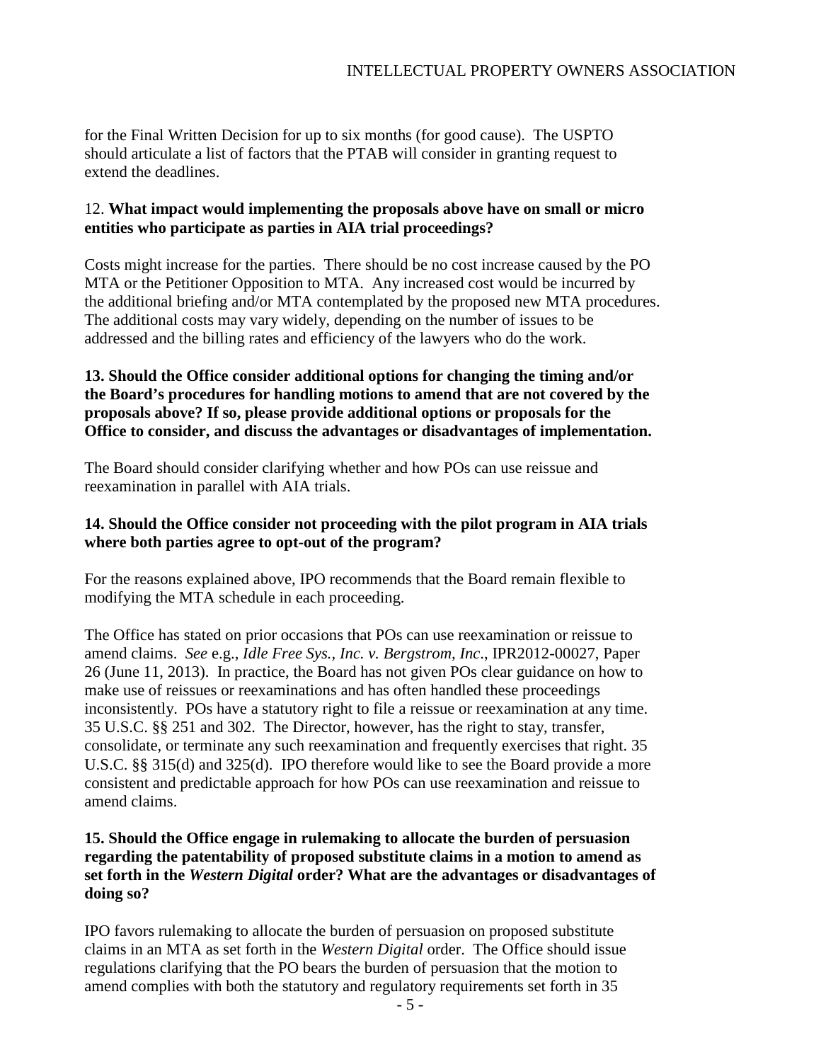for the Final Written Decision for up to six months (for good cause). The USPTO should articulate a list of factors that the PTAB will consider in granting request to extend the deadlines.

## 12. **What impact would implementing the proposals above have on small or micro entities who participate as parties in AIA trial proceedings?**

Costs might increase for the parties. There should be no cost increase caused by the PO MTA or the Petitioner Opposition to MTA. Any increased cost would be incurred by the additional briefing and/or MTA contemplated by the proposed new MTA procedures. The additional costs may vary widely, depending on the number of issues to be addressed and the billing rates and efficiency of the lawyers who do the work.

# **13. Should the Office consider additional options for changing the timing and/or the Board's procedures for handling motions to amend that are not covered by the proposals above? If so, please provide additional options or proposals for the Office to consider, and discuss the advantages or disadvantages of implementation.**

The Board should consider clarifying whether and how POs can use reissue and reexamination in parallel with AIA trials.

## **14. Should the Office consider not proceeding with the pilot program in AIA trials where both parties agree to opt-out of the program?**

For the reasons explained above, IPO recommends that the Board remain flexible to modifying the MTA schedule in each proceeding.

The Office has stated on prior occasions that POs can use reexamination or reissue to amend claims. *See* e.g., *Idle Free Sys., Inc. v. Bergstrom, Inc*., IPR2012-00027, Paper 26 (June 11, 2013). In practice, the Board has not given POs clear guidance on how to make use of reissues or reexaminations and has often handled these proceedings inconsistently. POs have a statutory right to file a reissue or reexamination at any time. 35 U.S.C. §§ 251 and 302. The Director, however, has the right to stay, transfer, consolidate, or terminate any such reexamination and frequently exercises that right. 35 U.S.C. §§ 315(d) and 325(d). IPO therefore would like to see the Board provide a more consistent and predictable approach for how POs can use reexamination and reissue to amend claims.

# **15. Should the Office engage in rulemaking to allocate the burden of persuasion regarding the patentability of proposed substitute claims in a motion to amend as set forth in the** *Western Digital* **order? What are the advantages or disadvantages of doing so?**

IPO favors rulemaking to allocate the burden of persuasion on proposed substitute claims in an MTA as set forth in the *Western Digital* order. The Office should issue regulations clarifying that the PO bears the burden of persuasion that the motion to amend complies with both the statutory and regulatory requirements set forth in 35